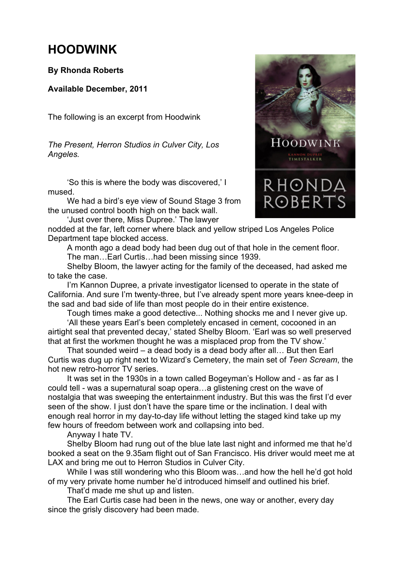## **HOODWINK**

## **By Rhonda Roberts**

## **Available December, 2011**

The following is an excerpt from Hoodwink

*The Present, Herron Studios in Culver City, Los Angeles.*

'So this is where the body was discovered,' I mused.

We had a bird's eye view of Sound Stage 3 from the unused control booth high on the back wall.

'Just over there, Miss Dupree.' The lawyer

nodded at the far, left corner where black and yellow striped Los Angeles Police Department tape blocked access.

A month ago a dead body had been dug out of that hole in the cement floor. The man…Earl Curtis…had been missing since 1939.

Shelby Bloom, the lawyer acting for the family of the deceased, had asked me to take the case.

I'm Kannon Dupree, a private investigator licensed to operate in the state of California. And sure I'm twenty-three, but I've already spent more years knee-deep in the sad and bad side of life than most people do in their entire existence.

Tough times make a good detective... Nothing shocks me and I never give up.

'All these years Earl's been completely encased in cement, cocooned in an airtight seal that prevented decay,' stated Shelby Bloom. 'Earl was so well preserved that at first the workmen thought he was a misplaced prop from the TV show.'

That sounded weird – a dead body is a dead body after all… But then Earl Curtis was dug up right next to Wizard's Cemetery, the main set of *Teen Scream*, the hot new retro-horror TV series.

It was set in the 1930s in a town called Bogeyman's Hollow and - as far as I could tell - was a supernatural soap opera…a glistening crest on the wave of nostalgia that was sweeping the entertainment industry. But this was the first I'd ever seen of the show. I just don't have the spare time or the inclination. I deal with enough real horror in my day-to-day life without letting the staged kind take up my few hours of freedom between work and collapsing into bed.

Anyway I hate TV.

Shelby Bloom had rung out of the blue late last night and informed me that he'd booked a seat on the 9.35am flight out of San Francisco. His driver would meet me at LAX and bring me out to Herron Studios in Culver City.

While I was still wondering who this Bloom was…and how the hell he'd got hold of my very private home number he'd introduced himself and outlined his brief.

That'd made me shut up and listen.

The Earl Curtis case had been in the news, one way or another, every day since the grisly discovery had been made.

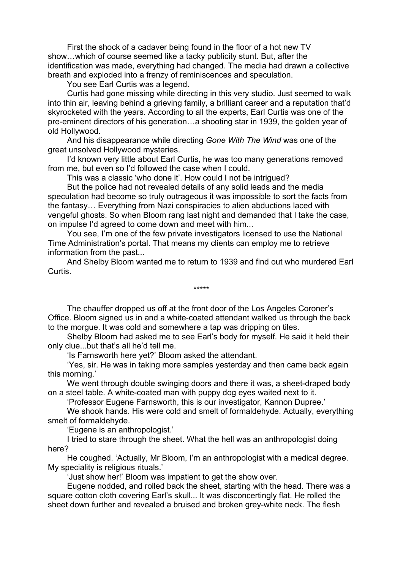First the shock of a cadaver being found in the floor of a hot new TV show…which of course seemed like a tacky publicity stunt. But, after the identification was made, everything had changed. The media had drawn a collective breath and exploded into a frenzy of reminiscences and speculation.

You see Earl Curtis was a legend.

Curtis had gone missing while directing in this very studio. Just seemed to walk into thin air, leaving behind a grieving family, a brilliant career and a reputation that'd skyrocketed with the years. According to all the experts, Earl Curtis was one of the pre-eminent directors of his generation…a shooting star in 1939, the golden year of old Hollywood.

And his disappearance while directing *Gone With The Wind* was one of the great unsolved Hollywood mysteries.

I'd known very little about Earl Curtis, he was too many generations removed from me, but even so I'd followed the case when I could.

This was a classic 'who done it'. How could I not be intrigued?

But the police had not revealed details of any solid leads and the media speculation had become so truly outrageous it was impossible to sort the facts from the fantasy… Everything from Nazi conspiracies to alien abductions laced with vengeful ghosts. So when Bloom rang last night and demanded that I take the case, on impulse I'd agreed to come down and meet with him...

You see, I'm one of the few private investigators licensed to use the National Time Administration's portal. That means my clients can employ me to retrieve information from the past...

And Shelby Bloom wanted me to return to 1939 and find out who murdered Earl Curtis.

\*\*\*\*\*

The chauffer dropped us off at the front door of the Los Angeles Coroner's Office. Bloom signed us in and a white-coated attendant walked us through the back to the morgue. It was cold and somewhere a tap was dripping on tiles.

Shelby Bloom had asked me to see Earl's body for myself. He said it held their only clue...but that's all he'd tell me.

'Is Farnsworth here yet?' Bloom asked the attendant.

'Yes, sir. He was in taking more samples yesterday and then came back again this morning.'

We went through double swinging doors and there it was, a sheet-draped body on a steel table. A white-coated man with puppy dog eyes waited next to it.

'Professor Eugene Farnsworth, this is our investigator, Kannon Dupree.'

We shook hands. His were cold and smelt of formaldehyde. Actually, everything smelt of formaldehyde.

'Eugene is an anthropologist.'

I tried to stare through the sheet. What the hell was an anthropologist doing here?

He coughed. 'Actually, Mr Bloom, I'm an anthropologist with a medical degree. My speciality is religious rituals.'

'Just show her!' Bloom was impatient to get the show over.

Eugene nodded, and rolled back the sheet, starting with the head. There was a square cotton cloth covering Earl's skull... It was disconcertingly flat. He rolled the sheet down further and revealed a bruised and broken grey-white neck. The flesh